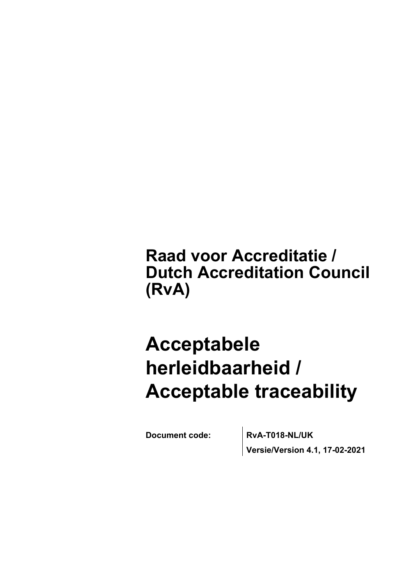## **Raad voor Accreditatie / Dutch Accreditation Council (RvA)**

# **Acceptabele herleidbaarheid / Acceptable traceability**

**Document code: RvA-T018-NL/UK Versie/Version 4.1, 17-02-2021**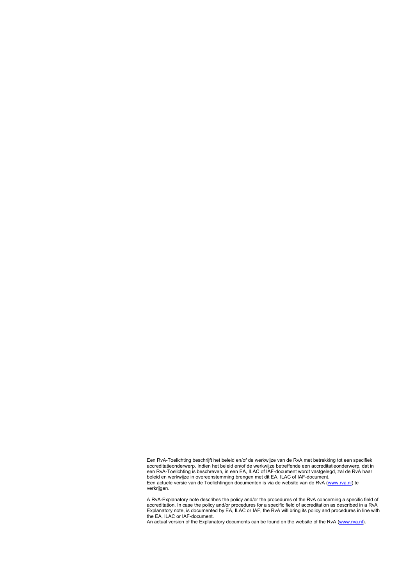Een RvA-Toelichting beschrijft het beleid en/of de werkwijze van de RvA met betrekking tot een specifiek accreditatieonderwerp. Indien het beleid en/of de werkwijze betreffende een accreditatieonderwerp, dat in een RvA-Toelichting is beschreven, in een EA, ILAC of IAF-document wordt vastgelegd, zal de RvA haar beleid en werkwijze in overeenstemming brengen met dit EA, ILAC of IAF-document. Een actuele versie van de Toelichtingen documenten is via de website van de RvA ([www.rva.nl\)](http://www.rva.nl/) te verkrijgen.

A RvA-Explanatory note describes the policy and/or the procedures of the RvA concerning a specific field of accreditation. In case the policy and/or procedures for a specific field of accreditation as described in a RvA Explanatory note, is documented by EA, ILAC or IAF, the RvA will bring its policy and procedures in line with the EA, ILAC or IAF-document.

An actual version of the Explanatory documents can be found on the website of the RvA ([www.rva.nl](http://www.rva.nl/)).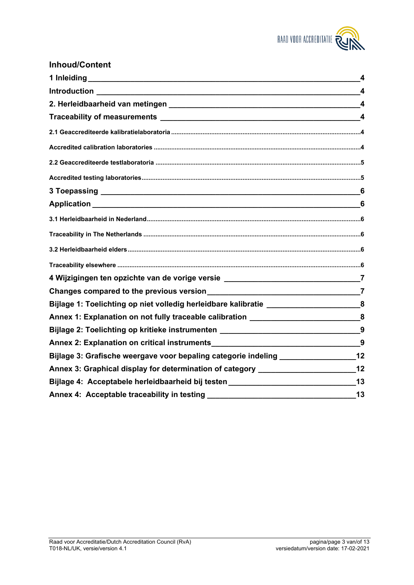

### **Inhoud/Content**

|                                                                                                               | $\overline{\mathbf{4}}$ |
|---------------------------------------------------------------------------------------------------------------|-------------------------|
|                                                                                                               | $\overline{\mathbf{4}}$ |
|                                                                                                               |                         |
|                                                                                                               |                         |
|                                                                                                               |                         |
|                                                                                                               |                         |
|                                                                                                               |                         |
|                                                                                                               |                         |
|                                                                                                               |                         |
|                                                                                                               | 6                       |
|                                                                                                               |                         |
|                                                                                                               |                         |
|                                                                                                               |                         |
|                                                                                                               |                         |
| 4 Wijzigingen ten opzichte van de vorige versie ________________________________7                             |                         |
|                                                                                                               |                         |
| Bijlage 1: Toelichting op niet volledig herleidbare kalibratie _________________________8                     |                         |
| Annex 1: Explanation on not fully traceable calibration _________________________8                            |                         |
| Bijlage 2: Toelichting op kritieke instrumenten ________________________________9                             |                         |
|                                                                                                               |                         |
| Bijlage 3: Grafische weergave voor bepaling categorie indeling __________________12                           |                         |
| Annex 3: Graphical display for determination of category ________________________12                           |                         |
| Bijlage 4: Acceptabele herleidbaarheid bij testen en aangeleeuwe van de stadium van de stadium van de stadium |                         |
|                                                                                                               | $\sim$ 13               |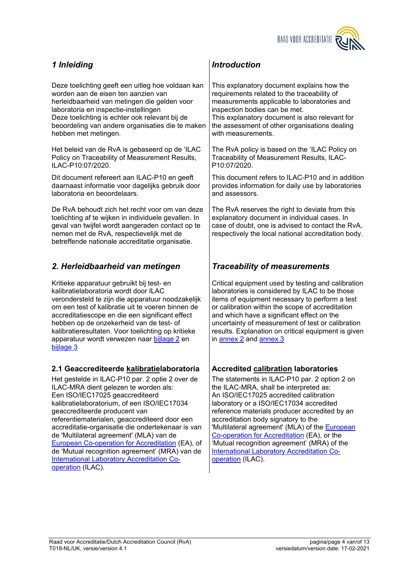

Deze toelichting geeft een uitleg hoe voldaan kan worden aan de eisen ten aanzien van herleidbaarheid van metingen die gelden voor laboratoria en inspectie-instellingen Deze toelichting is echter ook relevant bij de beoordeling van andere organisaties die te maken hebben met metingen.

Het beleid van de RvA is gebaseerd op de 'ILAC Policy on Traceability of Measurement Results, ILAC-P10:07/2020.

Dit document refereert aan ILAC-P10 en geeft daarnaast informatie voor dagelijks gebruik door laboratoria en beoordelaars.

De RvA behoudt zich het recht voor om van deze toelichting af te wijken in individuele gevallen. In geval van twijfel wordt aangeraden contact op te nemen met de RvA, respectievelijk met de betreffende nationale accreditatie organisatie.

### <span id="page-3-2"></span>*2. Herleidbaarheid van metingen*

Kritieke apparatuur gebruikt bij test- en kalibratielaboratoria wordt door ILAC verondersteld te zijn die apparatuur noodzakelijk om een test of kalibratie uit te voeren binnen de accreditatiescope en die een significant effect hebben op de onzekerheid van de test- of kalibratieresultaten. Voor toelichting op kritieke apparatuur wordt verwezen naar [bijlage 2](#page-8-0) en [bijlage 3](#page-11-0)

### <span id="page-3-4"></span>**2.1 Geaccrediteerde kalibratielaboratoria Accredited calibration laboratories**

Het gestelde in ILAC-P10 par. 2 optie 2 over de ILAC-MRA dient gelezen te worden als: Een ISO/IEC17025 geaccrediteerd kalibratielaboratorium, of een ISO/IEC17034 geaccrediteerde producent van referentiematerialen, geaccrediteerd door een accreditatie-organisatie die ondertekenaar is van de 'Multilateral agreement' (MLA) van de [European Co-operation for Accreditation](http://www.european-accreditation.org/) (EA), of de 'Mutual recognition agreement' (MRA) van de [International Laboratory Accreditation Co](http://www.ilac.org/)[operation](http://www.ilac.org/) (ILAC).

### <span id="page-3-0"></span>*1 Inleiding Introduction*

<span id="page-3-1"></span>This explanatory document explains how the requirements related to the traceability of measurements applicable to laboratories and inspection bodies can be met. This explanatory document is also relevant for the assessment of other organisations dealing with measurements.

The RvA policy is based on the 'ILAC Policy on Traceability of Measurement Results, ILAC-P10:07/2020.

This document refers to ILAC-P10 and in addition provides information for daily use by laboratories and assessors.

The RvA reserves the right to deviate from this explanatory document in individual cases. In case of doubt, one is advised to contact the RvA, respectively the local national accreditation body.

### <span id="page-3-3"></span>*Traceability of measurements*

Critical equipment used by testing and calibration laboratories is considered by ILAC to be those items of equipment necessary to perform a test or calibration within the scope of accreditation and which have a significant effect on the uncertainty of measurement of test or calibration results. Explanation on critical equipment is given in [annex 2](#page-8-1) and [annex 3](#page-11-1)

<span id="page-3-5"></span>The statements in ILAC-P10 par. 2 option 2 on the ILAC-MRA, shall be interpreted as: An ISO/IEC17025 accredited calibration laboratory or a ISO/IEC17034 accredited reference materials producer accredited by an accreditation body signatory to the 'Multilateral agreement' (MLA) of the [European](http://www.european-accreditation.org/)  [Co-operation for Accreditation](http://www.european-accreditation.org/) (EA), or the 'Mutual recognition agreement' (MRA) of the [International Laboratory Accreditation Co](http://www.ilac.org/)[operation](http://www.ilac.org/) (ILAC).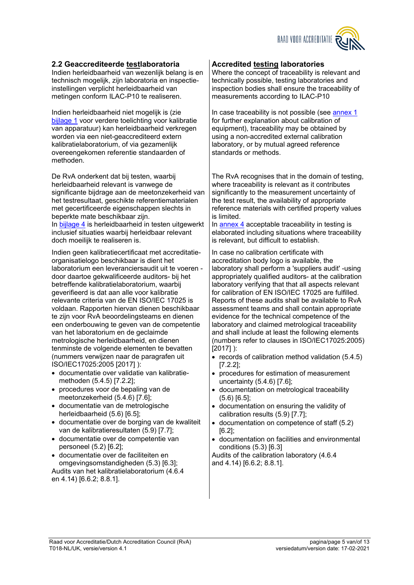

#### <span id="page-4-0"></span>**2.2 Geaccrediteerde testlaboratoria**

Indien herleidbaarheid van wezenlijk belang is en technisch mogelijk, zijn laboratoria en inspectieinstellingen verplicht herleidbaarheid van metingen conform ILAC-P10 te realiseren.

Indien herleidbaarheid niet mogelijk is (zie [bijlage 1](#page-7-0) voor verdere toelichting voor kalibratie van apparatuur) kan herleidbaarheid verkregen worden via een niet-geaccrediteerd extern kalibratielaboratorium, of via gezamenlijk overeengekomen referentie standaarden of methoden.

De RvA onderkent dat bij testen, waarbij herleidbaarheid relevant is vanwege de significante bijdrage aan de meetonzekerheid van het testresultaat, geschikte referentiematerialen met gecertificeerde eigenschappen slechts in beperkte mate beschikbaar zijn. In [bijlage 4](#page-12-0) is herleidbaarheid in testen uitgewerkt inclusief situaties waarbij herleidbaar relevant doch moeilijk te realiseren is.

Indien geen kalibratiecertificaat met accreditatieorganisatielogo beschikbaar is dient het laboratorium een leveranciersaudit uit te voeren door daartoe gekwalificeerde auditors- bij het betreffende kalibratielaboratorium, waarbij geverifieerd is dat aan alle voor kalibratie relevante criteria van de EN ISO/IEC 17025 is voldaan. Rapporten hiervan dienen beschikbaar te zijn voor RvA beoordelingsteams en dienen een onderbouwing te geven van de competentie van het laboratorium en de geclaimde metrologische herleidbaarheid, en dienen tenminste de volgende elementen te bevatten (nummers verwijzen naar de paragrafen uit ISO/IEC17025:2005 [2017] ):

- documentatie over validatie van kalibratiemethoden (5.4.5) [7.2.2];
- procedures voor de bepaling van de meetonzekerheid (5.4.6) [7.6];
- documentatie van de metrologische herleidbaarheid (5.6) [6.5];
- documentatie over de borging van de kwaliteit van de kalibratieresultaten (5.9) [7.7];
- documentatie over de competentie van personeel (5.2) [6.2];
- documentatie over de faciliteiten en omgevingsomstandigheden (5.3) [6.3]; Audits van het kalibratielaboratorium (4.6.4 en 4.14) [6.6.2; 8.8.1].

#### <span id="page-4-1"></span>**Accredited testing laboratories**

Where the concept of traceability is relevant and technically possible, testing laboratories and inspection bodies shall ensure the traceability of measurements according to ILAC-P10

In case traceability is not possible (see [annex 1](#page-7-1) for further explanation about calibration of equipment), traceability may be obtained by using a non-accredited external calibration laboratory, or by mutual agreed reference standards or methods.

The RvA recognises that in the domain of testing, where traceability is relevant as it contributes significantly to the measurement uncertainty of the test result, the availability of appropriate reference materials with certified property values is limited.

In [annex 4](#page-12-1) acceptable traceability in testing is elaborated including situations where traceability is relevant, but difficult to establish.

In case no calibration certificate with accreditation body logo is available, the laboratory shall perform a 'suppliers audit' -using appropriately qualified auditors- at the calibration laboratory verifying that that all aspects relevant for calibration of EN ISO/IEC 17025 are fulfilled. Reports of these audits shall be available to RvA assessment teams and shall contain appropriate evidence for the technical competence of the laboratory and claimed metrological traceability and shall include at least the following elements (numbers refer to clauses in ISO/IEC17025:2005) [2017] ):

- $\bullet$  records of calibration method validation (5.4.5) [7.2.2];
- procedures for estimation of measurement uncertainty (5.4.6) [7.6];
- documentation on metrological traceability (5.6) [6.5];
- documentation on ensuring the validity of calibration results (5.9) [7.7];
- documentation on competence of staff (5.2) [6.2];
- documentation on facilities and environmental conditions (5.3) [6.3]

Audits of the calibration laboratory (4.6.4 and 4.14) [6.6.2; 8.8.1].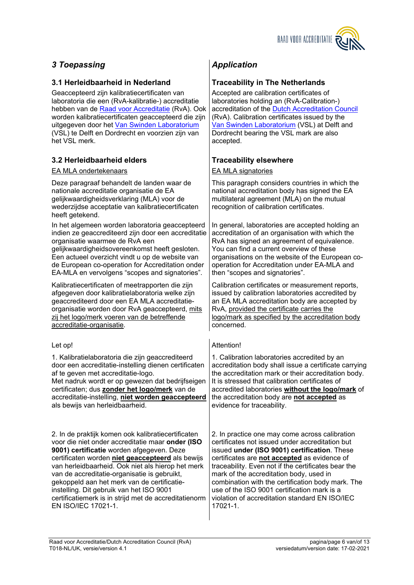

### <span id="page-5-0"></span>*3 Toepassing Application*

#### <span id="page-5-2"></span>**3.1 Herleidbaarheid in Nederland Traceability in The Netherlands**

Geaccepteerd zijn kalibratiecertificaten van laboratoria die een (RvA-kalibratie-) accreditatie hebben van de [Raad voor Accreditatie](http://www.rva.nl/) (RvA). Ook worden kalibratiecertificaten geaccepteerd die zijn uitgegeven door het [Van Swinden Laboratorium](http://www.vsl.nl/) (VSL) te Delft en Dordrecht en voorzien zijn van het VSL merk.

### <span id="page-5-4"></span>**3.2 Herleidbaarheid elders Traceability elsewhere**

#### EA MLA ondertekenaars EA MLA signatories

Deze paragraaf behandelt de landen waar de nationale accreditatie organisatie de EA gelijkwaardigheidsverklaring (MLA) voor de wederzijdse acceptatie van kalibratiecertificaten heeft getekend.

In het algemeen worden laboratoria geaccepteerd indien ze geaccrediteerd zijn door een accreditatie organisatie waarmee de RvA een gelijkwaardigheidsovereenkomst heeft gesloten. Een actueel overzicht vindt u op de website van de European co-operation for Accreditation onder EA-MLA en vervolgens "scopes and signatories".

Kalibratiecertificaten of meetrapporten die zijn afgegeven door kalibratielaboratoria welke zijn geaccrediteerd door een EA MLA accreditatieorganisatie worden door RvA geaccepteerd, mits zij het logo/merk voeren van de betreffende accreditatie-organisatie.

1. Kalibratielaboratoria die zijn geaccrediteerd door een accreditatie-instelling dienen certificaten af te geven met accreditatie-logo.

Met nadruk wordt er op gewezen dat bedrijfseigen certificaten; dus **zonder het logo/merk** van de accreditatie-instelling, **niet worden geaccepteerd**  als bewijs van herleidbaarheid.

2. In de praktijk komen ook kalibratiecertificaten voor die niet onder accreditatie maar **onder (ISO 9001) certificatie** worden afgegeven. Deze certificaten worden **niet geaccepteerd** als bewijs van herleidbaarheid. Ook niet als hierop het merk van de accreditatie-organisatie is gebruikt, gekoppeld aan het merk van de certificatieinstelling. Dit gebruik van het ISO 9001 certificatiemerk is in strijd met de accreditatienorm EN ISO/IEC 17021-1.

<span id="page-5-3"></span><span id="page-5-1"></span>Accepted are calibration certificates of laboratories holding an (RvA-Calibration-) accreditation of the [Dutch Accreditation Council](http://www.rva.nl/en) (RvA). Calibration certificates issued by the [Van Swinden Laboratorium](http://www.vsl.nl/) (VSL) at Delft and Dordrecht bearing the VSL mark are also accepted.

<span id="page-5-5"></span>

This paragraph considers countries in which the national accreditation body has signed the EA multilateral agreement (MLA) on the mutual recognition of calibration certificates.

In general, laboratories are accepted holding an accreditation of an organisation with which the RvA has signed an agreement of equivalence. You can find a current overview of these organisations on the website of the European cooperation for Accreditation under EA-MLA and then "scopes and signatories".

Calibration certificates or measurement reports, issued by calibration laboratories accredited by an EA MLA accreditation body are accepted by RvA, provided the certificate carries the logo/mark as specified by the accreditation body concerned.

#### Let op!

1. Calibration laboratories accredited by an accreditation body shall issue a certificate carrying the accreditation mark or their accreditation body. It is stressed that calibration certificates of accredited laboratories **without the logo/mark** of the accreditation body are **not accepted** as evidence for traceability.

2. In practice one may come across calibration certificates not issued under accreditation but issued **under (ISO 9001) certification**. These certificates are **not accepted** as evidence of traceability. Even not if the certificates bear the mark of the accreditation body, used in combination with the certification body mark. The use of the ISO 9001 certification mark is a violation of accreditation standard EN ISO/IEC 17021-1.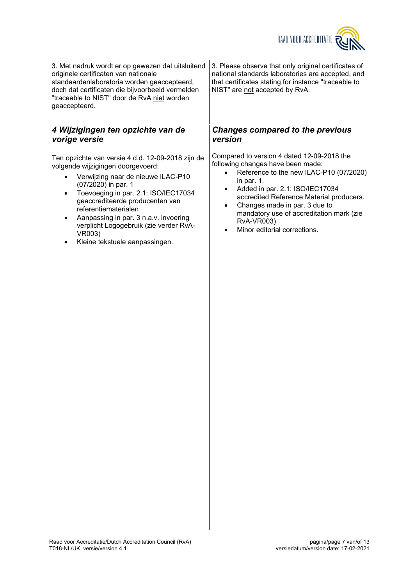

3. Met nadruk wordt er op gewezen dat uitsluitend originele certificaten van nationale standaardenlaboratoria worden geaccepteerd, doch dat certificaten die bijvoorbeeld vermelden "traceable to NIST" door de RvA niet worden geaccepteerd.

### <span id="page-6-0"></span>*4 Wijzigingen ten opzichte van de vorige versie*

Ten opzichte van versie 4 d.d. 12-09-2018 zijn de volgende wijzigingen doorgevoerd:

- Verwijzing naar de nieuwe ILAC-P10 (07/2020) in par. 1
- Toevoeging in par. 2.1: ISO/IEC17034 geaccrediteerde producenten van referentiematerialen
- Aanpassing in par. 3 n.a.v. invoering verplicht Logogebruik (zie verder RvA-VR003)
- Kleine tekstuele aanpassingen.

3. Please observe that only original certificates of national standards laboratories are accepted, and that certificates stating for instance "traceable to NIST" are not accepted by RvA.

### <span id="page-6-1"></span>*Changes compared to the previous version*

Compared to version 4 dated 12-09-2018 the following changes have been made:

- Reference to the new ILAC-P10 (07/2020) in par. 1.
- Added in par. 2.1: ISO/IEC17034 accredited Reference Material producers.
- Changes made in par. 3 due to mandatory use of accreditation mark (zie RvA-VR003)
- Minor editorial corrections.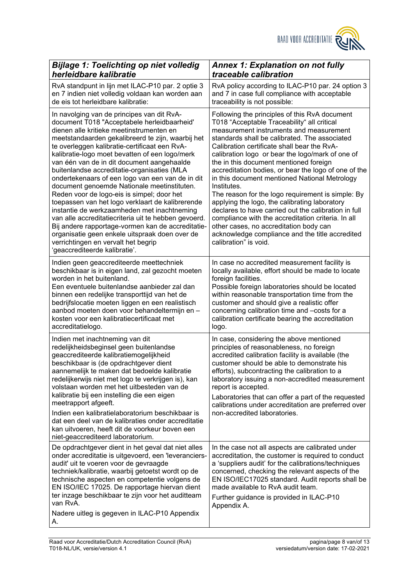<span id="page-7-1"></span>

<span id="page-7-0"></span>

| <b>Bijlage 1: Toelichting op niet volledig</b>                                                                                                                                                                                                                                                                                                                                                                                                                                                                                                                                                                                                                                                                                                                                                                                                                                        | <b>Annex 1: Explanation on not fully</b>                                                                                                                                                                                                                                                                                                                                                                                                                                                                                                                                                                                                                                                                                                                                                                |
|---------------------------------------------------------------------------------------------------------------------------------------------------------------------------------------------------------------------------------------------------------------------------------------------------------------------------------------------------------------------------------------------------------------------------------------------------------------------------------------------------------------------------------------------------------------------------------------------------------------------------------------------------------------------------------------------------------------------------------------------------------------------------------------------------------------------------------------------------------------------------------------|---------------------------------------------------------------------------------------------------------------------------------------------------------------------------------------------------------------------------------------------------------------------------------------------------------------------------------------------------------------------------------------------------------------------------------------------------------------------------------------------------------------------------------------------------------------------------------------------------------------------------------------------------------------------------------------------------------------------------------------------------------------------------------------------------------|
| herleidbare kalibratie                                                                                                                                                                                                                                                                                                                                                                                                                                                                                                                                                                                                                                                                                                                                                                                                                                                                | traceable calibration                                                                                                                                                                                                                                                                                                                                                                                                                                                                                                                                                                                                                                                                                                                                                                                   |
| RvA standpunt in lijn met ILAC-P10 par. 2 optie 3                                                                                                                                                                                                                                                                                                                                                                                                                                                                                                                                                                                                                                                                                                                                                                                                                                     | RvA policy according to ILAC-P10 par. 24 option 3                                                                                                                                                                                                                                                                                                                                                                                                                                                                                                                                                                                                                                                                                                                                                       |
| en 7 indien niet volledig voldaan kan worden aan                                                                                                                                                                                                                                                                                                                                                                                                                                                                                                                                                                                                                                                                                                                                                                                                                                      | and 7 in case full compliance with acceptable                                                                                                                                                                                                                                                                                                                                                                                                                                                                                                                                                                                                                                                                                                                                                           |
| de eis tot herleidbare kalibratie:                                                                                                                                                                                                                                                                                                                                                                                                                                                                                                                                                                                                                                                                                                                                                                                                                                                    | traceability is not possible:                                                                                                                                                                                                                                                                                                                                                                                                                                                                                                                                                                                                                                                                                                                                                                           |
| In navolging van de principes van dit RvA-<br>document T018 "Acceptabele herleidbaarheid'<br>dienen alle kritieke meetinstrumenten en<br>meetstandaarden gekalibreerd te zijn, waarbij het<br>te overleggen kalibratie-certificaat een RvA-<br>kalibratie-logo moet bevatten of een logo/merk<br>van één van de in dit document aangehaalde<br>buitenlandse accreditatie-organisaties (MLA<br>ondertekenaars of een logo van een van de in dit<br>document genoemde Nationale meetinstituten.<br>Reden voor de logo-eis is simpel; door het<br>toepassen van het logo verklaart de kalibrerende<br>instantie de werkzaamheden met inachtneming<br>van alle accreditatiecriteria uit te hebben gevoerd.<br>Bij andere rapportage-vormen kan de accreditatie-<br>organisatie geen enkele uitspraak doen over de<br>verrichtingen en vervalt het begrip<br>'geaccrediteerde kalibratie'. | Following the principles of this RvA document<br>T018 "Acceptable Traceability" all critical<br>measurement instruments and measurement<br>standards shall be calibrated. The associated<br>Calibration certificate shall bear the RvA-<br>calibration logo or bear the logo/mark of one of<br>the in this document mentioned foreign<br>accreditation bodies, or bear the logo of one of the<br>in this document mentioned National Metrology<br>Institutes.<br>The reason for the logo requirement is simple: By<br>applying the logo, the calibrating laboratory<br>declares to have carried out the calibration in full<br>compliance with the accreditation criteria. In all<br>other cases, no accreditation body can<br>acknowledge compliance and the title accredited<br>calibration" is void. |
| Indien geen geaccrediteerde meettechniek                                                                                                                                                                                                                                                                                                                                                                                                                                                                                                                                                                                                                                                                                                                                                                                                                                              | In case no accredited measurement facility is                                                                                                                                                                                                                                                                                                                                                                                                                                                                                                                                                                                                                                                                                                                                                           |
| beschikbaar is in eigen land, zal gezocht moeten                                                                                                                                                                                                                                                                                                                                                                                                                                                                                                                                                                                                                                                                                                                                                                                                                                      | locally available, effort should be made to locate                                                                                                                                                                                                                                                                                                                                                                                                                                                                                                                                                                                                                                                                                                                                                      |
| worden in het buitenland.                                                                                                                                                                                                                                                                                                                                                                                                                                                                                                                                                                                                                                                                                                                                                                                                                                                             | foreign facilities.                                                                                                                                                                                                                                                                                                                                                                                                                                                                                                                                                                                                                                                                                                                                                                                     |
| Een eventuele buitenlandse aanbieder zal dan                                                                                                                                                                                                                                                                                                                                                                                                                                                                                                                                                                                                                                                                                                                                                                                                                                          | Possible foreign laboratories should be located                                                                                                                                                                                                                                                                                                                                                                                                                                                                                                                                                                                                                                                                                                                                                         |
| binnen een redelijke transporttijd van het de                                                                                                                                                                                                                                                                                                                                                                                                                                                                                                                                                                                                                                                                                                                                                                                                                                         | within reasonable transportation time from the                                                                                                                                                                                                                                                                                                                                                                                                                                                                                                                                                                                                                                                                                                                                                          |
| bedrijfslocatie moeten liggen en een realistisch                                                                                                                                                                                                                                                                                                                                                                                                                                                                                                                                                                                                                                                                                                                                                                                                                                      | customer and should give a realistic offer                                                                                                                                                                                                                                                                                                                                                                                                                                                                                                                                                                                                                                                                                                                                                              |
| aanbod moeten doen voor behandeltermijn en -                                                                                                                                                                                                                                                                                                                                                                                                                                                                                                                                                                                                                                                                                                                                                                                                                                          | concerning calibration time and -costs for a                                                                                                                                                                                                                                                                                                                                                                                                                                                                                                                                                                                                                                                                                                                                                            |
| kosten voor een kalibratiecertificaat met                                                                                                                                                                                                                                                                                                                                                                                                                                                                                                                                                                                                                                                                                                                                                                                                                                             | calibration certificate bearing the accreditation                                                                                                                                                                                                                                                                                                                                                                                                                                                                                                                                                                                                                                                                                                                                                       |
| accreditatielogo.                                                                                                                                                                                                                                                                                                                                                                                                                                                                                                                                                                                                                                                                                                                                                                                                                                                                     | logo.                                                                                                                                                                                                                                                                                                                                                                                                                                                                                                                                                                                                                                                                                                                                                                                                   |
| Indien met inachtneming van dit<br>redelijkheidsbeginsel geen buitenlandse<br>geaccrediteerde kalibratiemogelijkheid<br>beschikbaar is (de opdrachtgever dient<br>aannemelijk te maken dat bedoelde kalibratie<br>redelijkerwijs niet met logo te verkrijgen is), kan<br>volstaan worden met het uitbesteden van de<br>kalibratie bij een instelling die een eigen<br>meetrapport afgeeft.<br>Indien een kalibratielaboratorium beschikbaar is<br>dat een deel van de kalibraties onder accreditatie<br>kan uitvoeren, heeft dit de voorkeur boven een<br>niet-geaccrediteerd laboratorium.                                                                                                                                                                                                                                                                                           | In case, considering the above mentioned<br>principles of reasonableness, no foreign<br>accredited calibration facility is available (the<br>customer should be able to demonstrate his<br>efforts), subcontracting the calibration to a<br>laboratory issuing a non-accredited measurement<br>report is accepted.<br>Laboratories that can offer a part of the requested<br>calibrations under accreditation are preferred over<br>non-accredited laboratories.                                                                                                                                                                                                                                                                                                                                        |
| De opdrachtgever dient in het geval dat niet alles<br>onder accreditatie is uitgevoerd, een 'leveranciers-<br>audit' uit te voeren voor de gevraagde<br>techniek/kalibratie, waarbij getoetst wordt op de<br>technische aspecten en competentie volgens de<br>EN ISO/IEC 17025. De rapportage hiervan dient<br>ter inzage beschikbaar te zijn voor het auditteam<br>van RvA.<br>Nadere uitleg is gegeven in ILAC-P10 Appendix<br>А.                                                                                                                                                                                                                                                                                                                                                                                                                                                   | In the case not all aspects are calibrated under<br>accreditation, the customer is required to conduct<br>a 'suppliers audit' for the calibrations/techniques<br>concerned, checking the relevant aspects of the<br>EN ISO/IEC17025 standard. Audit reports shall be<br>made available to RvA audit team.<br>Further guidance is provided in ILAC-P10<br>Appendix A.                                                                                                                                                                                                                                                                                                                                                                                                                                    |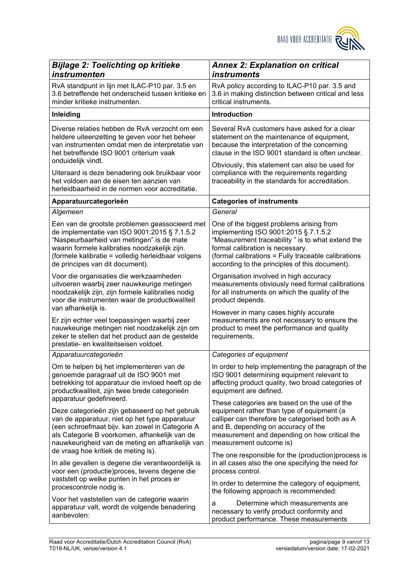<span id="page-8-1"></span>

<span id="page-8-0"></span>

| <b>Bijlage 2: Toelichting op kritieke</b>                                                                                                                                                                                                                                                                                                                              | <b>Annex 2: Explanation on critical</b>                                                                                                                                                                                                                                                                                                             |
|------------------------------------------------------------------------------------------------------------------------------------------------------------------------------------------------------------------------------------------------------------------------------------------------------------------------------------------------------------------------|-----------------------------------------------------------------------------------------------------------------------------------------------------------------------------------------------------------------------------------------------------------------------------------------------------------------------------------------------------|
| instrumenten                                                                                                                                                                                                                                                                                                                                                           | <i>instruments</i>                                                                                                                                                                                                                                                                                                                                  |
| RvA standpunt in lijn met ILAC-P10 par. 3.5 en                                                                                                                                                                                                                                                                                                                         | RvA policy according to ILAC-P10 par. 3.5 and                                                                                                                                                                                                                                                                                                       |
| 3.6 betreffende het onderscheid tussen kritieke en                                                                                                                                                                                                                                                                                                                     | 3.6 in making distinction between critical and less                                                                                                                                                                                                                                                                                                 |
| minder kritieke instrumenten.                                                                                                                                                                                                                                                                                                                                          | critical instruments.                                                                                                                                                                                                                                                                                                                               |
| Inleiding                                                                                                                                                                                                                                                                                                                                                              | <b>Introduction</b>                                                                                                                                                                                                                                                                                                                                 |
| Diverse relaties hebben de RvA verzocht om een<br>heldere uiteenzetting te geven voor het beheer<br>van instrumenten omdat men de interpretatie van<br>het betreffende ISO 9001 criterium vaak<br>onduidelijk vindt.<br>Uiteraard is deze benadering ook bruikbaar voor<br>het voldoen aan de eisen ten aanzien van<br>herleidbaarheid in de normen voor accreditatie. | Several RvA customers have asked for a clear<br>statement on the maintenance of equipment,<br>because the interpretation of the concerning<br>clause in the ISO 9001 standard is often unclear.<br>Obviously, this statement can also be used for<br>compliance with the requirements regarding<br>traceability in the standards for accreditation. |
| Apparatuurcategorieën                                                                                                                                                                                                                                                                                                                                                  | <b>Categories of instruments</b>                                                                                                                                                                                                                                                                                                                    |
| Algemeen                                                                                                                                                                                                                                                                                                                                                               | General                                                                                                                                                                                                                                                                                                                                             |
| Een van de grootste problemen geassocieerd met                                                                                                                                                                                                                                                                                                                         | One of the biggest problems arising from                                                                                                                                                                                                                                                                                                            |
| de implementatie van ISO 9001:2015 § 7.1.5.2                                                                                                                                                                                                                                                                                                                           | implementing ISO 9001:2015 § 7.1.5.2                                                                                                                                                                                                                                                                                                                |
| "Naspeurbaarheid van metingen" is de mate                                                                                                                                                                                                                                                                                                                              | "Measurement traceability" is to what extend the                                                                                                                                                                                                                                                                                                    |
| waarin formele kalibraties noodzakelijk zijn.                                                                                                                                                                                                                                                                                                                          | formal calibration is necessary.                                                                                                                                                                                                                                                                                                                    |
| (formele kalibratie = volledig herleidbaar volgens                                                                                                                                                                                                                                                                                                                     | (formal calibrations = Fully traceable calibrations                                                                                                                                                                                                                                                                                                 |
| de principes van dit document).                                                                                                                                                                                                                                                                                                                                        | according to the principles of this document).                                                                                                                                                                                                                                                                                                      |
| Voor die organisaties die werkzaamheden                                                                                                                                                                                                                                                                                                                                | Organisation involved in high accuracy                                                                                                                                                                                                                                                                                                              |
| uitvoeren waarbij zeer nauwkeurige metingen                                                                                                                                                                                                                                                                                                                            | measurements obviously need formal calibrations                                                                                                                                                                                                                                                                                                     |
| noodzakelijk zijn, zijn formele kalibraties nodig                                                                                                                                                                                                                                                                                                                      | for all instruments on which the quality of the                                                                                                                                                                                                                                                                                                     |
| voor die instrumenten waar de productkwaliteit                                                                                                                                                                                                                                                                                                                         | product depends.                                                                                                                                                                                                                                                                                                                                    |
| van afhankelijk is.<br>Er zijn echter veel toepassingen waarbij zeer<br>nauwkeurige metingen niet noodzakelijk zijn om<br>zeker te stellen dat het product aan de gestelde<br>prestatie- en kwaliteitseisen voldoet.                                                                                                                                                   | However in many cases highly accurate<br>measurements are not necessary to ensure the<br>product to meet the performance and quality<br>requirements.                                                                                                                                                                                               |
| Apparatuurcategorieën                                                                                                                                                                                                                                                                                                                                                  | Categories of equipment                                                                                                                                                                                                                                                                                                                             |
| Om te helpen bij het implementeren van de                                                                                                                                                                                                                                                                                                                              | In order to help implementing the paragraph of the                                                                                                                                                                                                                                                                                                  |
| genoemde paragraaf uit de ISO 9001 met                                                                                                                                                                                                                                                                                                                                 | ISO 9001 determining equipment relevant to                                                                                                                                                                                                                                                                                                          |
| betrekking tot apparatuur die invloed heeft op de                                                                                                                                                                                                                                                                                                                      | affecting product quality, two broad categories of                                                                                                                                                                                                                                                                                                  |
| productkwaliteit, zijn twee brede categorieën                                                                                                                                                                                                                                                                                                                          | equipment are defined.                                                                                                                                                                                                                                                                                                                              |
| apparatuur gedefinieerd.                                                                                                                                                                                                                                                                                                                                               | These categories are based on the use of the                                                                                                                                                                                                                                                                                                        |
| Deze categorieën zijn gebaseerd op het gebruik                                                                                                                                                                                                                                                                                                                         | equipment rather than type of equipment (a                                                                                                                                                                                                                                                                                                          |
| van de apparatuur, niet op het type apparatuur                                                                                                                                                                                                                                                                                                                         | calliper can therefore be categorised both as A                                                                                                                                                                                                                                                                                                     |
| (een schroefmaat bijv. kan zowel in Categorie A                                                                                                                                                                                                                                                                                                                        | and B, depending on accuracy of the                                                                                                                                                                                                                                                                                                                 |
| als Categorie B voorkomen, afhankelijk van de                                                                                                                                                                                                                                                                                                                          | measurement and depending on how critical the                                                                                                                                                                                                                                                                                                       |
| nauwkeurigheid van de meting en afhankelijk van                                                                                                                                                                                                                                                                                                                        | measurement outcome is)                                                                                                                                                                                                                                                                                                                             |
| de vraag hoe kritiek de meting is).                                                                                                                                                                                                                                                                                                                                    | The one responsible for the (production) process is                                                                                                                                                                                                                                                                                                 |
| In alle gevallen is degene die verantwoordelijk is                                                                                                                                                                                                                                                                                                                     | in all cases also the one specifying the need for                                                                                                                                                                                                                                                                                                   |
| voor een (productie) proces, tevens degene die                                                                                                                                                                                                                                                                                                                         | process control.                                                                                                                                                                                                                                                                                                                                    |
| vaststelt op welke punten in het proces er                                                                                                                                                                                                                                                                                                                             | In order to determine the category of equipment,                                                                                                                                                                                                                                                                                                    |
| procescontrole nodig is.                                                                                                                                                                                                                                                                                                                                               | the following approach is recommended:                                                                                                                                                                                                                                                                                                              |
| Voor het vaststellen van de categorie waarin<br>apparatuur valt, wordt de volgende benadering<br>aanbevolen:                                                                                                                                                                                                                                                           | Determine which measurements are<br>a<br>necessary to verify product conformity and<br>product performance. These measurements                                                                                                                                                                                                                      |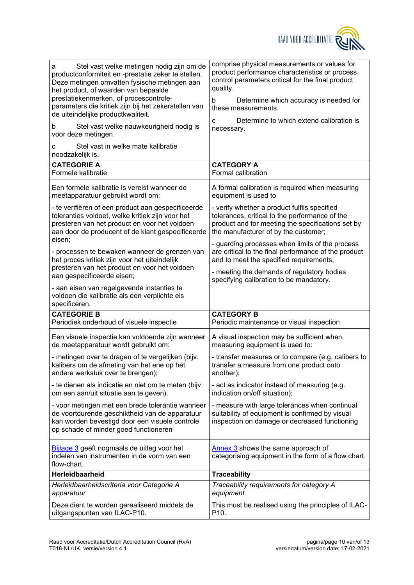

| Stel vast welke metingen nodig zijn om de<br>а<br>productconformiteit en -prestatie zeker te stellen.<br>Deze metingen omvatten fysische metingen aan<br>het product, of waarden van bepaalde<br>prestatiekenmerken, of procescontrole-<br>parameters die kritiek zijn bij het zekerstellen van<br>de uiteindelijke productkwaliteit. | comprise physical measurements or values for<br>product performance characteristics or process<br>control parameters critical for the final product<br>quality.<br>Determine which accuracy is needed for<br>b<br>these measurements. |
|---------------------------------------------------------------------------------------------------------------------------------------------------------------------------------------------------------------------------------------------------------------------------------------------------------------------------------------|---------------------------------------------------------------------------------------------------------------------------------------------------------------------------------------------------------------------------------------|
| Stel vast welke nauwkeurigheid nodig is                                                                                                                                                                                                                                                                                               | Determine to which extend calibration is                                                                                                                                                                                              |
| b                                                                                                                                                                                                                                                                                                                                     | C                                                                                                                                                                                                                                     |
| voor deze metingen.                                                                                                                                                                                                                                                                                                                   | necessary.                                                                                                                                                                                                                            |
| Stel vast in welke mate kalibratie<br>с<br>noodzakelijk is.                                                                                                                                                                                                                                                                           |                                                                                                                                                                                                                                       |
| <b>CATEGORIE A</b>                                                                                                                                                                                                                                                                                                                    | <b>CATEGORY A</b>                                                                                                                                                                                                                     |
| Formele kalibratie                                                                                                                                                                                                                                                                                                                    | Formal calibration                                                                                                                                                                                                                    |
| Een formele kalibratie is vereist wanneer de                                                                                                                                                                                                                                                                                          | A formal calibration is required when measuring                                                                                                                                                                                       |
| meetapparatuur gebruikt wordt om:                                                                                                                                                                                                                                                                                                     | equipment is used to                                                                                                                                                                                                                  |
| - te verifiëren of een product aan gespecificeerde                                                                                                                                                                                                                                                                                    | - verify whether a product fulfils specified                                                                                                                                                                                          |
| toleranties voldoet, welke kritiek zijn voor het                                                                                                                                                                                                                                                                                      | tolerances, critical to the performance of the                                                                                                                                                                                        |
| presteren van het product en voor het voldoen                                                                                                                                                                                                                                                                                         | product and for meeting the specifications set by                                                                                                                                                                                     |
| aan door de producent of de klant gespecificeerde                                                                                                                                                                                                                                                                                     | the manufacturer of by the customer;                                                                                                                                                                                                  |
| eisen;                                                                                                                                                                                                                                                                                                                                | - guarding processes when limits of the process                                                                                                                                                                                       |
| - processen te bewaken wanneer de grenzen van                                                                                                                                                                                                                                                                                         | are critical to the final performance of the product                                                                                                                                                                                  |
| het proces kritiek zijn voor het uiteindelijk                                                                                                                                                                                                                                                                                         | and to meet the specified requirements;                                                                                                                                                                                               |
| presteren van het product en voor het voldoen                                                                                                                                                                                                                                                                                         | - meeting the demands of regulatory bodies                                                                                                                                                                                            |
| aan gespecificeerde eisen;                                                                                                                                                                                                                                                                                                            | specifying calibration to be mandatory.                                                                                                                                                                                               |
| - aan eisen van regelgevende instanties te<br>voldoen die kalibratie als een verplichte eis<br>specificeren.                                                                                                                                                                                                                          |                                                                                                                                                                                                                                       |
| <b>CATEGORIE B</b>                                                                                                                                                                                                                                                                                                                    | <b>CATEGORY B</b>                                                                                                                                                                                                                     |
| Periodiek onderhoud of visuele inspectie                                                                                                                                                                                                                                                                                              | Periodic maintenance or visual inspection                                                                                                                                                                                             |
| Een visuele inspectie kan voldoende zijn wanneer                                                                                                                                                                                                                                                                                      | A visual inspection may be sufficient when                                                                                                                                                                                            |
| de meetapparatuur wordt gebruikt om:                                                                                                                                                                                                                                                                                                  | measuring equipment is used to:                                                                                                                                                                                                       |
| - metingen over te dragen of te vergelijken (bijv.                                                                                                                                                                                                                                                                                    | - transfer measures or to compare (e.g. calibers to                                                                                                                                                                                   |
| kalibers om de afmeting van het ene op het                                                                                                                                                                                                                                                                                            | transfer a measure from one product onto                                                                                                                                                                                              |
| andere werkstuk over te brengen);                                                                                                                                                                                                                                                                                                     | another);                                                                                                                                                                                                                             |
| - te dienen als indicatie en niet om te meten (bijv                                                                                                                                                                                                                                                                                   | - act as indicator instead of measuring (e.g.                                                                                                                                                                                         |
| om een aan/uit situatie aan te geven).                                                                                                                                                                                                                                                                                                | indication on/off situation);                                                                                                                                                                                                         |
| - voor metingen met een brede tolerantie wanneer                                                                                                                                                                                                                                                                                      |                                                                                                                                                                                                                                       |
| de voortdurende geschiktheid van de apparatuur                                                                                                                                                                                                                                                                                        | - measure with large tolerances when continual                                                                                                                                                                                        |
| kan worden bevestigd door een visuele controle                                                                                                                                                                                                                                                                                        | suitability of equipment is confirmed by visual                                                                                                                                                                                       |
| op schade of minder goed functioneren                                                                                                                                                                                                                                                                                                 | inspection on damage or decreased functioning                                                                                                                                                                                         |
| <b>Bijlage 3</b> geeft nogmaals de uitleg voor het<br>indelen van instrumenten in de vorm van een<br>flow-chart.                                                                                                                                                                                                                      | Annex 3 shows the same approach of<br>categorising equipment in the form of a flow chart.                                                                                                                                             |
| Herleidbaarheid                                                                                                                                                                                                                                                                                                                       | <b>Traceability</b>                                                                                                                                                                                                                   |
| Herleidbaarheidscriteria voor Categorie A                                                                                                                                                                                                                                                                                             | Traceability requirements for category A                                                                                                                                                                                              |
| apparatuur                                                                                                                                                                                                                                                                                                                            | equipment                                                                                                                                                                                                                             |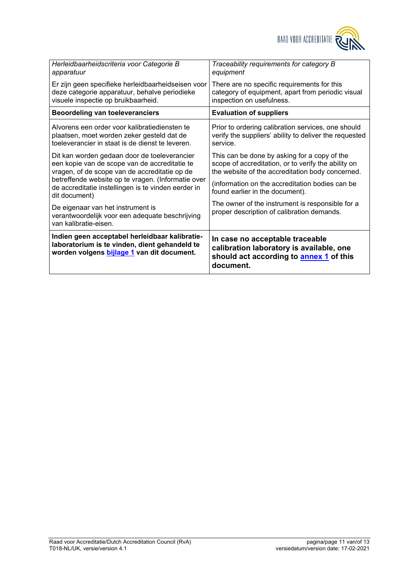

| Indien geen acceptabel herleidbaar kalibratie-<br>laboratorium is te vinden, dient gehandeld te<br>worden volgens bijlage 1 van dit document. | In case no acceptable traceable<br>calibration laboratory is available, one<br>should act according to annex 1 of this<br>document. |
|-----------------------------------------------------------------------------------------------------------------------------------------------|-------------------------------------------------------------------------------------------------------------------------------------|
| De eigenaar van het instrument is<br>verantwoordelijk voor een adequate beschrijving<br>van kalibratie-eisen.                                 | The owner of the instrument is responsible for a<br>proper description of calibration demands.                                      |
| betreffende website op te vragen. (Informatie over<br>de accreditatie instellingen is te vinden eerder in<br>dit document)                    | (information on the accreditation bodies can be<br>found earlier in the document).                                                  |
| Dit kan worden gedaan door de toeleverancier                                                                                                  | This can be done by asking for a copy of the                                                                                        |
| een kopie van de scope van de accreditatie te                                                                                                 | scope of accreditation, or to verify the ability on                                                                                 |
| vragen, of de scope van de accreditatie op de                                                                                                 | the website of the accreditation body concerned.                                                                                    |
| Alvorens een order voor kalibratiediensten te                                                                                                 | Prior to ordering calibration services, one should                                                                                  |
| plaatsen, moet worden zeker gesteld dat de                                                                                                    | verify the suppliers' ability to deliver the requested                                                                              |
| toeleverancier in staat is de dienst te leveren.                                                                                              | service.                                                                                                                            |
| <b>Beoordeling van toeleveranciers</b>                                                                                                        | <b>Evaluation of suppliers</b>                                                                                                      |
| Er zijn geen specifieke herleidbaarheidseisen voor                                                                                            | There are no specific requirements for this                                                                                         |
| deze categorie apparatuur, behalve periodieke                                                                                                 | category of equipment, apart from periodic visual                                                                                   |
| visuele inspectie op bruikbaarheid.                                                                                                           | inspection on usefulness.                                                                                                           |
| Herleidbaarheidscriteria voor Categorie B                                                                                                     | Traceability requirements for category B                                                                                            |
| apparatuur                                                                                                                                    | equipment                                                                                                                           |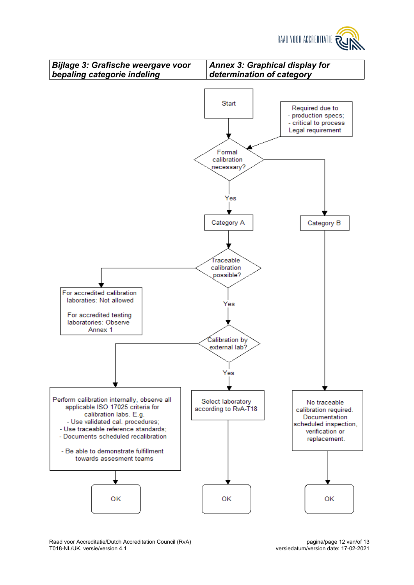<span id="page-11-1"></span>

<span id="page-11-0"></span>

Raad voor Accreditatie/Dutch Accreditation Council (RvA) pagina/page 12 van/of 13<br>T018-NL/UK, versie/version 4.1 council (RvA) pagina/page 12 van/of 13